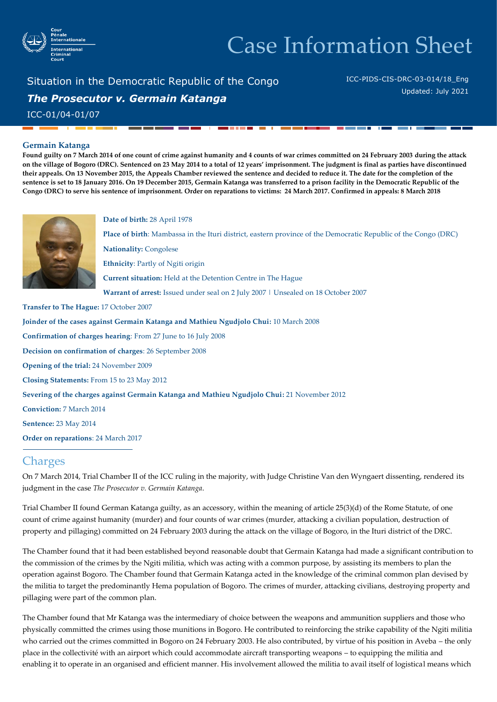

# Case Information Sheet

Situation in the Democratic Republic of the Congo *The Prosecutor v. Germain Katanga* ICC-01/04-01/07

ICC-PIDS-CIS-DRC-03-014/18\_Eng Updated: July 2021

### **Germain Katanga**

**Found guilty on 7 March 2014 of one count of crime against humanity and 4 counts of war crimes committed on 24 February 2003 during the attack on the village of Bogoro (DRC). Sentenced on 23 May 2014 to a total of 12 years' imprisonment. The judgment is final as parties have discontinued their appeals. On 13 November 2015, the Appeals Chamber reviewed the sentence and decided to reduce it. The date for the completion of the sentence is set to 18 January 2016. On 19 December 2015, Germain Katanga was transferred to a prison facility in the Democratic Republic of the Congo (DRC) to serve his sentence of imprisonment. Order on reparations to victims: 24 March 2017. Confirmed in appeals: 8 March 2018**



#### **Date of birth:** 28 April 1978

**Place of birth**: Mambassa in the Ituri district, eastern province of the Democratic Republic of the Congo (DRC) **Nationality:** Congolese **Ethnicity**: Partly of Ngiti origin **Current situation:** Held at the Detention Centre in The Hague **Warrant of arrest:** Issued under seal on 2 July 2007 | Unsealed on 18 October 2007

**Transfer to The Hague:** 17 October 2007

**Joinder of the cases against Germain Katanga and Mathieu Ngudjolo Chui:** 10 March 2008 **Confirmation of charges hearing**: From 27 June to 16 July 2008 **Decision on confirmation of charges**: 26 September 2008 **Opening of the trial:** 24 November 2009 **Closing Statements:** From 15 to 23 May 2012 **Severing of the charges against Germain Katanga and Mathieu Ngudjolo Chui:** 21 November 2012 **Conviction:** 7 March 2014 **Sentence:** 23 May 2014 **Order on reparations**: 24 March 2017

## **Charges**

On 7 March 2014, Trial Chamber II of the ICC ruling in the majority, with Judge Christine Van den Wyngaert dissenting, rendered its judgment in the case *The Prosecutor v. Germain Katanga*.

Trial Chamber II found German Katanga guilty, as an accessory, within the meaning of article 25(3)(d) of the Rome Statute, of one count of crime against humanity (murder) and four counts of war crimes (murder, attacking a civilian population, destruction of property and pillaging) committed on 24 February 2003 during the attack on the village of Bogoro, in the Ituri district of the DRC.

The Chamber found that it had been established beyond reasonable doubt that Germain Katanga had made a significant contribution to the commission of the crimes by the Ngiti militia, which was acting with a common purpose, by assisting its members to plan the operation against Bogoro. The Chamber found that Germain Katanga acted in the knowledge of the criminal common plan devised by the militia to target the predominantly Hema population of Bogoro. The crimes of murder, attacking civilians, destroying property and pillaging were part of the common plan.

The Chamber found that Mr Katanga was the intermediary of choice between the weapons and ammunition suppliers and those who physically committed the crimes using those munitions in Bogoro. He contributed to reinforcing the strike capability of the Ngiti militia who carried out the crimes committed in Bogoro on 24 February 2003. He also contributed, by virtue of his position in Aveba – the only place in the collectivité with an airport which could accommodate aircraft transporting weapons – to equipping the militia and enabling it to operate in an organised and efficient manner. His involvement allowed the militia to avail itself of logistical means which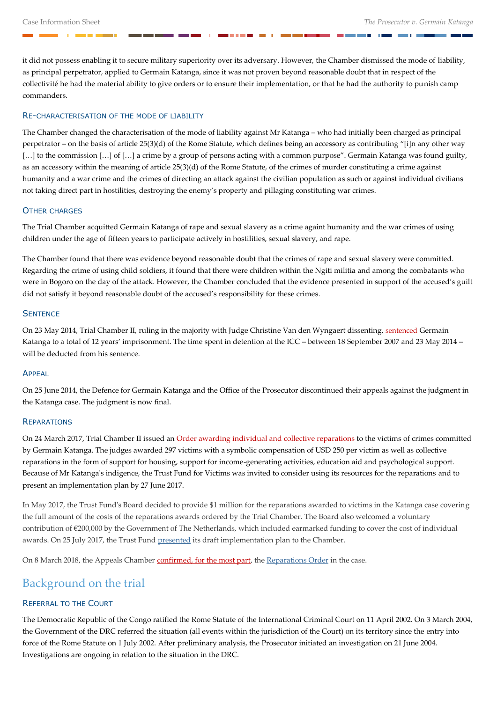it did not possess enabling it to secure military superiority over its adversary. However, the Chamber dismissed the mode of liability, as principal perpetrator, applied to Germain Katanga, since it was not proven beyond reasonable doubt that in respect of the collectivité he had the material ability to give orders or to ensure their implementation, or that he had the authority to punish camp commanders.

### RE-CHARACTERISATION OF THE MODE OF LIABILITY

The Chamber changed the characterisation of the mode of liability against Mr Katanga – who had initially been charged as principal perpetrator – on the basis of article 25(3)(d) of the Rome Statute, which defines being an accessory as contributing "[i]n any other way [...] to the commission [...] of [...] a crime by a group of persons acting with a common purpose". Germain Katanga was found guilty, as an accessory within the meaning of article 25(3)(d) of the Rome Statute, of the crimes of murder constituting a crime against humanity and a war crime and the crimes of directing an attack against the civilian population as such or against individual civilians not taking direct part in hostilities, destroying the enemy's property and pillaging constituting war crimes.

### OTHER CHARGES

The Trial Chamber acquitted Germain Katanga of rape and sexual slavery as a crime againt humanity and the war crimes of using children under the age of fifteen years to participate actively in hostilities, sexual slavery, and rape.

The Chamber found that there was evidence beyond reasonable doubt that the crimes of rape and sexual slavery were committed. Regarding the crime of using child soldiers, it found that there were children within the Ngiti militia and among the combatants who were in Bogoro on the day of the attack. However, the Chamber concluded that the evidence presented in support of the accused's guilt did not satisfy it beyond reasonable doubt of the accused's responsibility for these crimes.

### **SENTENCE**

On 23 May 2014, Trial Chamber II, ruling in the majority with Judge Christine Van den Wyngaert dissenting, [sentenced](http://www.icc-cpi.int/en_menus/icc/situations%20and%20cases/situations/situation%20icc%200104/related%20cases/icc%200104%200107/court%20records/chambers/trial%20chamber%20ii/Pages/3484.aspx) Germain Katanga to a total of 12 years' imprisonment. The time spent in detention at the ICC – between 18 September 2007 and 23 May 2014 – will be deducted from his sentence.

### APPEAL

On 25 June 2014, the Defence for Germain Katanga and the Office of the Prosecutor discontinued their appeals against the judgment in the Katanga case. The judgment is now final.

### **REPARATIONS**

On 24 March 2017, Trial Chamber II issued a[n Order awarding individual and collective reparations](https://www.icc-cpi.int/Pages/item.aspx?name=pr1288) to the victims of crimes committed by Germain Katanga. The judges awarded 297 victims with a symbolic compensation of USD 250 per victim as well as collective reparations in the form of support for housing, support for income‑generating activities, education aid and psychological support. Because of Mr Katanga's indigence, the Trust Fund for Victims was invited to consider using its resources for the reparations and to present an implementation plan by 27 June 2017.

In May 2017, the Trust Fund's Board decided to provide \$1 million for the reparations awarded to victims in the Katanga case covering the full amount of the costs of the reparations awards ordered by the Trial Chamber. The Board also welcomed a voluntary contribution of €200,000 by the Government of The Netherlands, which included earmarked funding to cover the cost of individual awards. On 25 July 2017, the Trust Fund [presented](https://www.icc-cpi.int/Pages/item.aspx?name=170726-tfv-pr) its draft implementation plan to the Chamber.

On 8 March 2018, the Appeals Chamber [confirmed, for the most part,](https://www.icc-cpi.int/Pages/item.aspx?name=pr1364&ln=fr) the [Reparations Order](https://www.icc-cpi.int/Pages/record.aspx?docNo=ICC-01/04-01/07-3728-tENG) in the case.

# Background on the trial

### REFERRAL TO THE COURT

The Democratic Republic of the Congo ratified the Rome Statute of the International Criminal Court on 11 April 2002. On 3 March 2004, the Government of the DRC referred the situation (all events within the jurisdiction of the Court) on its territory since the entry into force of the Rome Statute on 1 July 2002. After preliminary analysis, the Prosecutor initiated an investigation on 21 June 2004. Investigations are ongoing in relation to the situation in the DRC.